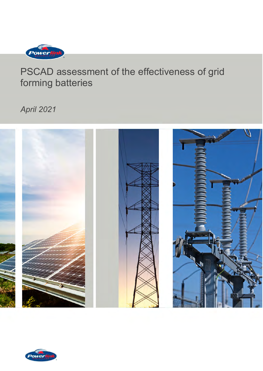

*April 2021*



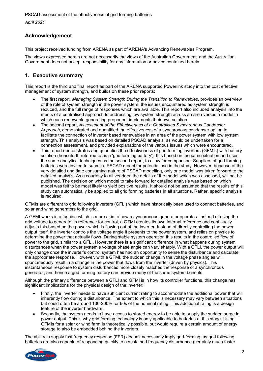# **Acknowledgement**

This project received funding from ARENA as part of ARENA's Advancing Renewables Program.

The views expressed herein are not necessarily the views of the Australian Government, and the Australian Government does not accept responsibility for any information or advice contained herein.

# <span id="page-1-0"></span>**1. Executive summary**

This report is the third and final report as part of the ARENA supported Powerlink study into the cost effective management of system strength, and builds on these prior reports:

- The first report, *Managing System Strength During the Transition to Renewables*, provides an overview of the role of system strength in the power system, the issues encountered as system strength is reduced, and the full range of responses which are available. This report also included analysis into the merits of a centralised approach to addressing low system strength across an area versus a model in which each renewable generating proponent implements their own solution.
- The second report, *Assessment of the Effectiveness of a Centralised Synchronous Condenser Approach*, demonstrated and quantified the effectiveness of a synchronous condenser option to facilitate the connection of inverter based renewables in an area of the power system with low system strength. This analysis was based on detailed PSCAD analysis, as would be undertaken for a connection assessment, and provided explanations of the various issues which were encountered.
- This report demonstrates and quantifies the effectiveness of grid forming inverters (GFMIs) with battery solution (henceforth referred to as a 'grid forming battery'). It is based on the same situation and uses the same analytical techniques as the second report, to allow for comparison. Suppliers of grid forming batteries were invited to submit a PSCAD model for potential use in the study. However, because of the very detailed and time consuming nature of PSCAD modelling, only one model was taken forward to the detailed analysis. As a courtesy to all vendors, the details of the model which was assessed, will not be published. The decision on which model to take forward for detailed analysis was based on which model was felt to be most likely to yield positive results. It should not be assumed that the results of this study can automatically be applied to all grid forming batteries in all situations. Rather, specific analysis is required.

GFMIs are different to grid following inverters (GFLI) which have historically been used to connect batteries, and solar and wind generators to the grid.

A GFMI works in a fashion which is more akin to how a synchronous generator operates. Instead of using the grid voltage to generate its reference for control, a GFMI creates its own internal reference and continually adjusts this based on the power which is flowing out of the inverter. Instead of directly controlling the power output itself, the inverter controls the voltage angle it presents to the power system, and relies on physics to determine the power that actually flows. During stable system operation this results in the controlled flow of power to the grid, similar to a GFLI. However there is a significant difference in what happens during system disturbances when the power system's voltage phase angle can vary sharply. With a GFLI, the power output will only change once the inverter's control system has had an opportunity to sense the disturbance and calculate the appropriate response. However, with a GFMI, the sudden change in the voltage phase angles will spontaneously result in a change in the power that flows from the inverter (driven by physics). This instantaneous response to system disturbances more closely matches the response of a synchronous generator, and hence a grid forming battery can provide many of the same system benefits.

Although the primary difference between a GFLI and GFMI is in how its controller functions, this change has significant implications for the physical design of the inverter:

- Firstly, the inverter needs to have sufficient current rating to accommodate the additional power that will inherently flow during a disturbance. The extent to which this is necessary may vary between situations but could often be around 130-200% for 60s of the nominal rating. This additional rating is a design feature of the inverter hardware.
- Secondly, the system needs to have access to stored energy to be able to supply the sudden surge in power output. This is why grid forming technology is only applicable to batteries at this stage. Using GFMIs for a solar or wind farm is theoretically possible, but would require a certain amount of energy storage to also be embedded behind the inverters.

The ability to supply fast frequency response (FFR) doesn't necessarily imply grid-forming, as grid following batteries are also capable of responding quickly to a sustained frequency disturbance (certainly much faster

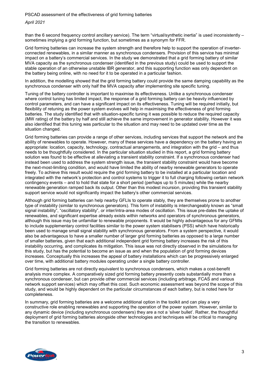*April 2021*

than the 6 second frequency control ancillary service). The term "virtual/synthetic inertia" is used inconsistently – sometimes implying a grid forming function, but sometimes as a synonym for FFR.

Grid forming batteries can increase the system strength and therefore help to support the operation of inverterconnected renewables, in a similar manner as synchronous condensers. Provision of this service has minimal impact on a battery's commercial services. In the study we demonstrated that a grid forming battery of similar MVA capacity as the synchronous condenser (identified in the previous study) could be used to support the stable operation of an otherwise unstable IBR generator, and this supporting function was only dependent on the battery being online, with no need for it to be operated in a particular fashion.

In addition, the modelling showed that the grid forming battery could provide the same damping capability as the synchronous condenser with only half the MVA capacity after implementing site specific tuning.

Tuning of the battery controller is important to maximise its effectiveness. Unlike a synchronous condenser where control tuning has limited impact, the response of a grid forming battery can be heavily influenced by control parameters, and can have a significant impact on its effectiveness. Tuning will be required initially, but flexibility of retuning as the power system evolves will help in maximising the effectiveness of grid forming batteries. The study identified that with situation-specific tuning it was possible to reduce the required capacity (MW rating) of the battery by half and still achieve the same improvement in generator stability. However it was also identified that this tuning was particular to the situation and may need to be updated over time as the situation changed.

Grid forming batteries can provide a range of other services, including services that support the network and the ability of renewables to operate. However, many of these services have a dependency on the battery having an appropriate: location, capacity, technology, contractual arrangements, and integration with the grid – and thus needs to be thoughtfully considered. In the particular situation studied in this report, a grid forming battery solution was found to be effective at alleviating a transient stability constraint. If a synchronous condenser had instead been used to address the system strength issue, the transient stability constraint would have become the next-most-limiting condition, and would have limited the ability of nearby renewable generators to operate freely. To achieve this result would require the grid forming battery to be installed at a particular location and integrated with the network's protection and control systems to trigger it to full charging following certain network contingency events – and to hold that state for a short period (perhaps up to 5 minutes) while the nearby renewable generation ramped back its output. Other than this modest incursion, providing this transient stability support service would not significantly impact the battery's other commercial services.

Although grid forming batteries can help nearby GFLIs to operate stably, they are themselves prone to another type of instability (similar to synchronous generators). This form of instability is interchangeably known as "small signal instability", "oscillatory stability", or inter/intra-area modes of oscillation. This issue pre-dates the uptake of renewables, and significant expertise already exists within networks and operators of synchronous generators, although this issue may be unfamiliar to renewable proponents. It would be highly advantageous for any GFMIs to include supplementary control facilities similar to the power system stabilisers (PSS) which have historically been used to manage small signal stability with synchronous generators. From a system perspective, it would also be advantageous to have a smaller number of larger grid forming batteries as opposed to a large number of smaller batteries, given that each additional independent grid forming battery increases the risk of this instability occurring, and complicates its mitigation. This issue was not directly observed in the simulations for this study, but has the potential to become an issue as and when the population of grid forming devices increases. Conceptually this increases the appeal of battery installations which can be progressively enlarged over time, with additional battery modules operating under a single battery controller.

Grid forming batteries are not directly equivalent to synchronous condensers, which makes a cost-benefit analysis more complex. A comparatively sized grid forming battery presently costs substantially more than a synchronous condenser, but can provide other commercial services (including arbitrage, FCAS and various network support services) which may offset this cost. Such economic assessment was beyond the scope of this study, and would be highly dependent on the particular circumstances of each battery, but is noted here for completeness.

In summary, grid forming batteries are a welcome additional option in the toolkit and can play a very constructive role enabling renewables and supporting the operation of the power system. However, similar to any dynamic device (including synchronous condensers) they are a not a 'silver bullet'. Rather, the thoughtful deployment of grid forming batteries alongside other technologies and techniques will be critical to managing the transition to renewables.

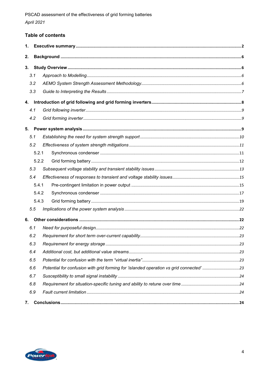# Table of contents

| 1. |       |                                                                                        |  |  |
|----|-------|----------------------------------------------------------------------------------------|--|--|
| 2. |       |                                                                                        |  |  |
| 3. |       |                                                                                        |  |  |
|    | 3.1   |                                                                                        |  |  |
|    | 3.2   |                                                                                        |  |  |
|    | 3.3   |                                                                                        |  |  |
|    |       |                                                                                        |  |  |
|    | 4.1   |                                                                                        |  |  |
|    | 4.2   |                                                                                        |  |  |
|    |       |                                                                                        |  |  |
|    | 5.1   |                                                                                        |  |  |
|    | 5.2   |                                                                                        |  |  |
|    | 5.2.1 |                                                                                        |  |  |
|    | 5.2.2 |                                                                                        |  |  |
|    | 5.3   |                                                                                        |  |  |
|    | 5.4   |                                                                                        |  |  |
|    | 5.4.1 |                                                                                        |  |  |
|    | 5.4.2 |                                                                                        |  |  |
|    | 5.4.3 |                                                                                        |  |  |
|    | 5.5   |                                                                                        |  |  |
| 6. |       |                                                                                        |  |  |
|    | 6.1   |                                                                                        |  |  |
|    | 6.2   |                                                                                        |  |  |
|    | 6.3   |                                                                                        |  |  |
|    | 6.4   |                                                                                        |  |  |
|    | 6.5   |                                                                                        |  |  |
|    | 6.6   | Potential for confusion with grid forming for 'islanded operation vs grid connected'23 |  |  |
|    | 6.7   |                                                                                        |  |  |
|    | 6.8   |                                                                                        |  |  |
|    | 6.9   |                                                                                        |  |  |
| 7. |       |                                                                                        |  |  |

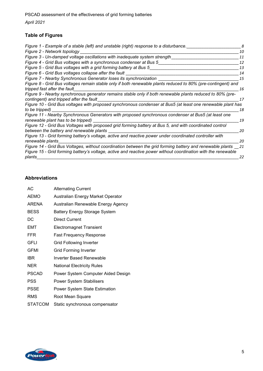*April 2021*

# **Table of Figures**

| 10<br>11<br>12<br>13<br>14<br>15<br>16<br>17<br>Figure 10 - Grid Bus voltages with proposed synchronous condenser at Bus5 (at least one renewable plant has<br>18<br>19<br>20<br>Figure 13 - Grid forming battery's voltage, active and reactive power under coordinated controller with<br>20<br>21 | Figure 1 - Example of a stable (left) and unstable (right) response to a disturbance.                                                                                                                                      | 8 |
|------------------------------------------------------------------------------------------------------------------------------------------------------------------------------------------------------------------------------------------------------------------------------------------------------|----------------------------------------------------------------------------------------------------------------------------------------------------------------------------------------------------------------------------|---|
|                                                                                                                                                                                                                                                                                                      | Figure 2 - Network topology                                                                                                                                                                                                |   |
|                                                                                                                                                                                                                                                                                                      | Figure 3 - Un-damped voltage oscillations with inadequate system strength                                                                                                                                                  |   |
|                                                                                                                                                                                                                                                                                                      | Figure 4 - Grid Bus voltages with a synchronous condenser at Bus 5                                                                                                                                                         |   |
|                                                                                                                                                                                                                                                                                                      | Figure 5 - Grid Bus voltages with a grid forming battery at Bus 5                                                                                                                                                          |   |
|                                                                                                                                                                                                                                                                                                      | Figure 6 - Grid Bus voltages collapse after the fault                                                                                                                                                                      |   |
|                                                                                                                                                                                                                                                                                                      | Figure 7 - Nearby Synchronous Generator loses its synchronization                                                                                                                                                          |   |
|                                                                                                                                                                                                                                                                                                      | Figure 8 - Grid Bus voltages remain stable only if both renewable plants reduced to 80% (pre-contingent) and                                                                                                               |   |
|                                                                                                                                                                                                                                                                                                      | tripped fast after the fault                                                                                                                                                                                               |   |
|                                                                                                                                                                                                                                                                                                      | Figure 9 - Nearby synchronous generator remains stable only if both renewable plants reduced to 80% (pre-<br>contingent) and tripped after the fault                                                                       |   |
|                                                                                                                                                                                                                                                                                                      |                                                                                                                                                                                                                            |   |
|                                                                                                                                                                                                                                                                                                      | to be tripped)                                                                                                                                                                                                             |   |
|                                                                                                                                                                                                                                                                                                      | Figure 11 - Nearby Synchronous Generators with proposed synchronous condenser at Bus5 (at least one                                                                                                                        |   |
|                                                                                                                                                                                                                                                                                                      | renewable plant has to be tripped)                                                                                                                                                                                         |   |
|                                                                                                                                                                                                                                                                                                      | Figure 12 - Grid Bus Voltages with proposed grid forming battery at Bus 5, and with coordinated control                                                                                                                    |   |
|                                                                                                                                                                                                                                                                                                      | between the battery and renewable plants                                                                                                                                                                                   |   |
|                                                                                                                                                                                                                                                                                                      |                                                                                                                                                                                                                            |   |
|                                                                                                                                                                                                                                                                                                      | renewable plants                                                                                                                                                                                                           |   |
|                                                                                                                                                                                                                                                                                                      | Figure 14 - Grid Bus Voltages, without coordination between the grid forming battery and renewable plants<br>Figure 15 - Grid forming battery's voltage, active and reactive power without coordination with the renewable |   |
| 22                                                                                                                                                                                                                                                                                                   | plants                                                                                                                                                                                                                     |   |

# **Abbreviations**

| АC             | <b>Alternating Current</b>           |
|----------------|--------------------------------------|
| <b>AEMO</b>    | Australian Energy Market Operator    |
| <b>ARENA</b>   | Australian Renewable Energy Agency   |
| <b>BESS</b>    | <b>Battery Energy Storage System</b> |
| DC             | <b>Direct Current</b>                |
| EMT            | <b>Electromagnet Transient</b>       |
| <b>FFR</b>     | Fast Frequency Response              |
| GFLI           | <b>Grid Following Inverter</b>       |
| <b>GFMI</b>    | <b>Grid Forming Inverter</b>         |
| IBR            | Inverter Based Renewable             |
| <b>NER</b>     | National Electricity Rules           |
| <b>PSCAD</b>   | Power System Computer Aided Design   |
| PSS            | <b>Power System Stabilisers</b>      |
| <b>PSSE</b>    | <b>Power System State Estimation</b> |
| RMS            | Root Mean Square                     |
| <b>STATCOM</b> | Static synchronous compensator       |

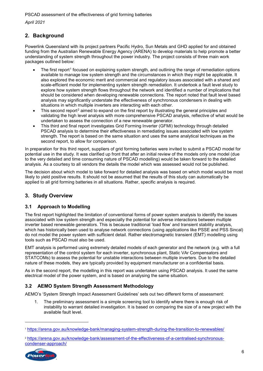*April 2021*

# <span id="page-5-0"></span>**2. Background**

Powerlink Queensland with its project partners Pacific Hydro, Sun Metals and GHD applied for and obtained funding from the Australian Renewable Energy Agency (ARENA) to develop materials to help promote a better understanding of system strength throughout the power industry. The project consists of three main work packages outlined below:

- The first report<sup>[1](#page-5-4)</sup> focused on explaining system strength, and outlining the range of remediation options available to manage low system strength and the circumstances in which they might be applicable. It also explored the economic merit and commercial and regulatory issues associated with a shared and scale-efficient model for implementing system strength remediation. It undertook a fault level study to explore how system strength flows throughout the network and identified a number of implications that should be considered when developing renewable connections. The report noted that fault level based analysis may significantly understate the effectiveness of synchronous condensers in dealing with situations in which multiple inverters are interacting with each other.
- This second report<sup>[2](#page-5-5)</sup> aimed to expand on the first report by illustrating the general principles and validating the high level analysis with more comprehensive PSCAD analysis, reflective of what would be undertaken to assess the connection of a new renewable generator.
- This third and final report investigates Grid Forming Inverter (GFMI) technology through detailed PSCAD analysis to determine their effectiveness in remediating issues associated with low system strength. The report is based on the same situation and uses the same analytical techniques as the second report, to allow for comparison.

In preparation for this third report, suppliers of grid forming batteries were invited to submit a PSCAD model for potential use in the study. It was clarified up front that after an initial review of the models only one model (due to the very detailed and time consuming nature of PSCAD modelling) would be taken forward to the detailed analysis. As a courtesy to all vendors the details the model which was assessed would not be published.

The decision about which model to take forward for detailed analysis was based on which model would be most likely to yield positive results. It should not be assumed that the results of this study can automatically be applied to all grid forming batteries in all situations. Rather, specific analysis is required.

# <span id="page-5-1"></span>**3. Study Overview**

# <span id="page-5-2"></span>**3.1 Approach to Modelling**

The first report highlighted the limitation of conventional forms of power system analysis to identify the issues associated with low system strength and especially the potential for adverse interactions between multiple inverter based renewable generators. This is because traditional 'load flow' and transient stability analysis, which has historically been used to analyse network connections (using applications like PSSE and PSS Sincal) do not model the power system with sufficient detail. Rather electromagnetic transient (EMT) modelling using tools such as PSCAD must also be used.

EMT analysis is performed using extremely detailed models of each generator and the network (e.g. with a full representation of the control system for each inverter, synchronous plant, Static VAr Compensators and STATCOMs) to assess the potential for unstable interactions between multiple inverters. Due to the detailed nature of these models, they are typically provided by equipment manufacturer on a confidential basis.

As in the second report, the modelling in this report was undertaken using PSCAD analysis. It used the same electrical model of the power system, and is based on analysing the same situation.

# <span id="page-5-3"></span>**3.2 AEMO System Strength Assessment Methodology**

AEMO's 'System Strength Impact Assessment Guidelines' sets out two different forms of assessment:

1. The preliminary assessment is a simple screening tool to identify where there is enough risk of instability to warrant detailed investigation. It is based on comparing the size of a new project with the available fault level.

<span id="page-5-5"></span><sup>2</sup> [https://arena.gov.au/knowledge-bank/assessment-of-the-effectiveness-of-a-centralised-synchronous](https://arena.gov.au/knowledge-bank/assessment-of-the-effectiveness-of-a-centralised-synchronous-condenser-approach/)[condenser-approach/](https://arena.gov.au/knowledge-bank/assessment-of-the-effectiveness-of-a-centralised-synchronous-condenser-approach/)



-

<span id="page-5-4"></span><sup>1</sup> <https://arena.gov.au/knowledge-bank/managing-system-strength-during-the-transition-to-renewables/>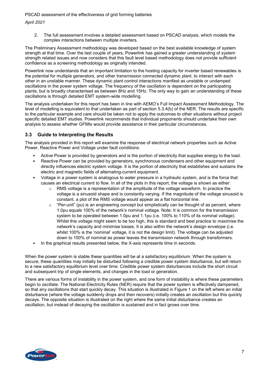*April 2021*

2. The full assessment involves a detailed assessment based on PSCAD analysis, which models the complex interactions between multiple inverters.

The Preliminary Assessment methodology was developed based on the best available knowledge of system strength at that time. Over the last couple of years, Powerlink has gained a greater understanding of system strength related issues and now considers that this fault level based methodology does not provide sufficient confidence as a screening methodology as originally intended.

Powerlink now understands that an important limitation to the hosting capacity for inverter based renewables is the potential for multiple generators, and other transmission connected dynamic plant, to interact with each other in an unstable manner. These dynamic plant control interactions manifest as unstable or undamped oscillations in the power system voltage. The frequency of the oscillation is dependent on the participating plants, but is broadly characterised as between 8Hz and 15Hz. The only way to gain an understanding of these oscillations is through detailed EMT system-wide modelling.

The analysis undertaken for this report has been in line with AEMO's Full Impact Assessment Methodology. The level of modelling is equivalent to that undertaken as part of section 5.3.4(b) of the NER. The results are specific to the particular example and care should be taken not to apply the outcomes to other situations without project specific detailed EMT studies. Powerlink recommends that individual proponents should undertake their own analysis to assess whether GFMIs would provide assistance in their particular circumstances.

# <span id="page-6-0"></span>**3.3 Guide to Interpreting the Results**

The analysis provided in this report will examine the response of electrical network properties such as Active Power, Reactive Power and Voltage under fault conditions.

- Active Power is provided by generators and is the portion of electricity that supplies energy to the load.
- Reactive Power can be provided by generators, synchronous condensers and other equipment and directly influences electric system voltage. It is the portion of electricity that establishes and sustains the electric and magnetic fields of alternating-current equipment.
- Voltage in a power system is analogous to water pressure in a hydraulic system, and is the force that causes an electrical current to flow. In all of the plots in this report, the voltage is shown as either:
	- $\circ$  RMS voltage is a representation of the amplitude of the voltage waveform. In practice the voltage is a sinusoid shape and is constantly varying. If the magnitude of the voltage sinusoid is constant, a plot of the RMS voltage would appear as a flat horizontal line.
	- o "Per-unit" (pu) is an engineering concept but simplistically can be thought of as percent, where 1.0pu equals 100% of the network's nominal voltage. Note: It is common for the transmission system to be operated between 1.0pu and 1.1pu (i.e. 100% to 110% of its nominal voltage). Whilst this voltage might seem to be too high, this is standard and best practice to maximise the network's capacity and minimise losses. It is also within the network's design envelope (i.e. whilst 100% is the 'nominal' voltage, it is not the design limit). The voltage can be adjusted down to 100% of nominal as power leaves the transmission network through transformers.
- In the graphical results presented below, the X-axis represents time in seconds.

When the power system is stable these quantities will be at a satisfactory equilibrium. When the system is secure, these quantities may initially be disturbed following a credible power system disturbance, but will return to a new satisfactory equilibrium level over time. Credible power system disturbances include the short circuit and subsequent trip of single elements, and changes in the load or generation.

There are various forms of instability in the power system, and one form of instability is where these parameters begin to oscillate. The National Electricity Rules (NER) require that the power system is effectively dampened, so that any oscillations that start quickly decay. This situation is illustrated in [Figure 1](#page-7-1) on the left where an initial disturbance (where the voltage suddenly drops and then recovers) initially creates an oscillation but this quickly decays. The opposite situation is illustrated on the right where the same initial disturbance creates an oscillation, but instead of decaying the oscillation is sustained and in fact grows over time.

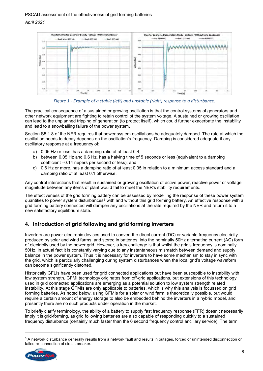



<span id="page-7-1"></span>The practical consequence of a sustained or growing oscillation is that the control systems of generators and other network equipment are fighting to retain control of the system voltage. A sustained or growing oscillation can lead to the unplanned tripping of generation (to protect itself), which could further exacerbate the instability and lead to a snowballing failure of the power system.

Section S5.1.8 of the NER requires that power system oscillations be adequately damped. The rate at which the oscillation needs to decay depends on the oscillation's frequency. Damping is considered adequate if any oscillatory response at a frequency of:

- a) 0.05 Hz or less, has a damping ratio of at least 0.4;
- b) between 0.05 Hz and 0.6 Hz, has a halving time of 5 seconds or less (equivalent to a damping coefficient –0.14 nepers per second or less); and
- c) 0.6 Hz or more, has a damping ratio of at least 0.05 in relation to a minimum access standard and a damping ratio of at least 0.1 otherwise.

Any control interactions that result in sustained or growing oscillation of active power, reactive power or voltage magnitude between any items of plant would fail to meet the NER's stability requirements.

The effectiveness of the grid forming battery can be assessed by modelling the response of these power system quantities to power system disturbances<sup>[3](#page-7-2)</sup> with and without this grid forming battery. An effective response with a grid forming battery connected will dampen any oscillations at the rate required by the NER and return it to a new satisfactory equilibrium state.

# <span id="page-7-0"></span>**4. Introduction of grid following and grid forming inverters**

Inverters are power electronic devices used to convert the direct current (DC) or variable frequency electricity produced by solar and wind farms, and stored in batteries, into the nominally 50Hz alternating current (AC) form of electricity used by the power grid. However, a key challenge is that whilst the grid's frequency is nominally 50Hz, in actual fact it is constantly varying due to any instantaneous mismatch between demand and supply balance in the power system. Thus it is necessary for inverters to have some mechanism to stay in sync with the grid, which is particularly challenging during system disturbances when the local grid's voltage waveform can become significantly distorted.

Historically GFLIs have been used for grid connected applications but have been susceptible to instability with low system strength. GFMI technology originates from off-grid applications, but extensions of this technology used in grid connected applications are emerging as a potential solution to low system strength related instability. At this stage GFMIs are only applicable to batteries, which is why this analysis is focussed on grid forming batteries. As noted below, using GFMIs for a solar or wind farm is theoretically possible, but would require a certain amount of energy storage to also be embedded behind the inverters in a hybrid model, and presently there are no such products under operation in the market.

To briefly clarify terminology, the ability of a battery to supply fast frequency response (FFR) doesn't necessarily imply it is grid-forming, as grid following batteries are also capable of responding quickly to a sustained frequency disturbance (certainly much faster than the 6 second frequency control ancillary service). The term

<span id="page-7-2"></span><sup>&</sup>lt;sup>3</sup> A network disturbance generally results from a network fault and results in outages, forced or unintended disconnection or failed re-connection of circuit breaker.



-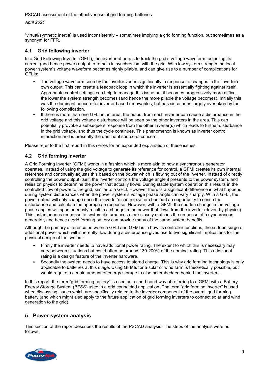#### *April 2021*

"virtual/synthetic inertia" is used inconsistently – sometimes implying a grid forming function, but sometimes as a synonym for FFR.

## <span id="page-8-0"></span>**4.1 Grid following inverter**

In a Grid Following Inverter (GFLI), the inverter attempts to track the grid's voltage waveform, adjusting its current (and hence power) output to remain in synchronism with the grid. With low system strength the local power system's voltage waveform becomes highly pliable, and can give rise to a number of complications for GFLIs:

- The voltage waveform seen by the inverter varies significantly in response to changes in the inverter's own output. This can create a feedback loop in which the inverter is essentially fighting against itself. Appropriate control settings can help to manage this issue but it becomes progressively more difficult the lower the system strength becomes (and hence the more pliable the voltage becomes). Initially this was the dominant concern for inverter based renewables, but has since been largely overtaken by the following complication.
- If there is more than one GFLI in an area, the output from each inverter can cause a disturbance in the grid voltage and this voltage disturbance will be seen by the other inverters in the area. This can potentially provoke a subsequent response from the other inverter(s) which leads to further disturbance in the grid voltage, and thus the cycle continues. This phenomenon is known as inverter control interaction and is presently the dominant source of concern.

Please refer to the first report in this series for an expanded explanation of these issues.

## <span id="page-8-1"></span>**4.2 Grid forming inverter**

A Grid Forming Inverter (GFMI) works in a fashion which is more akin to how a synchronous generator operates. Instead of using the grid voltage to generate its reference for control, a GFMI creates its own internal reference and continually adjusts this based on the power which is flowing out of the inverter. Instead of directly controlling the power output itself, the inverter controls the voltage angle it presents to the power system, and relies on physics to determine the power that actually flows. During stable system operation this results in the controlled flow of power to the grid, similar to a GFLI. However there is a significant difference in what happens during system disturbances when the power system's voltage phase angle can vary sharply. With a GFLI, the power output will only change once the inverter's control system has had an opportunity to sense the disturbance and calculate the appropriate response. However, with a GFMI, the sudden change in the voltage phase angles will spontaneously result in a change in the power that flows from the inverter (driven by physics). This instantaneous response to system disturbances more closely matches the response of a synchronous generator, and hence a grid forming battery can provide many of the same system benefits.

Although the primary difference between a GFLI and GFMI is in how its controller functions, the sudden surge of additional power which will inherently flow during a disturbance gives rise to two significant implications for the physical design of the system:

- Firstly the inverter needs to have additional power rating. The extent to which this is necessary may vary between situations but could often be around 130-200% of the nominal rating. This additional rating is a design feature of the inverter hardware.
- Secondly the system needs to have access to stored charge. This is why grid forming technology is only applicable to batteries at this stage. Using GFMIs for a solar or wind farm is theoretically possible, but would require a certain amount of energy storage to also be embedded behind the inverters.

In this report, the term "grid forming battery" is used as a short hand way of referring to a GFMI with a Battery Energy Storage System (BESS) used in a grid connected application. The term "grid forming inverter" is used when discussing issues which are specifically related to the inverter component of the overall grid forming battery (and which might also apply to the future application of grid forming inverters to connect solar and wind generation to the grid).

# <span id="page-8-2"></span>**5. Power system analysis**

This section of the report describes the results of the PSCAD analysis. The steps of the analysis were as follows:

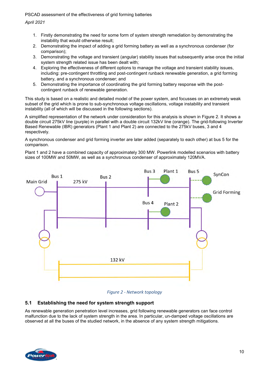*April 2021*

- 1. Firstly demonstrating the need for some form of system strength remediation by demonstrating the instability that would otherwise result;
- 2. Demonstrating the impact of adding a grid forming battery as well as a synchronous condenser (for comparison);
- 3. Demonstrating the voltage and transient (angular) stability issues that subsequently arise once the initial system strength related issue has been dealt with;
- 4. Exploring the effectiveness of different options to manage the voltage and transient stability issues, including: pre-contingent throttling and post-contingent runback renewable generation, a grid forming battery, and a synchronous condenser; and
- 5. Demonstrating the importance of coordinating the grid forming battery response with the postcontingent runback of renewable generation.

This study is based on a realistic and detailed model of the power system, and focusses on an extremely weak subset of the grid which is prone to sub-synchronous voltage oscillations, voltage instability and transient instability (all of which will be discussed in the following sections).

A simplified representation of the network under consideration for this analysis is shown in [Figure 2.](#page-9-1) It shows a double circuit 275kV line (purple) in parallel with a double circuit 132kV line (orange). The grid-following Inverter Based Renewable (IBR) generators (Plant 1 and Plant 2) are connected to the 275kV buses, 3 and 4 respectively.

A synchronous condenser and grid forming inverter are later added (separately to each other) at bus 5 for the comparison.

Plant 1 and 2 have a combined capacity of approximately 300 MW. Powerlink modelled scenarios with battery sizes of 100MW and 50MW, as well as a synchronous condenser of approximately 120MVA.





# <span id="page-9-1"></span><span id="page-9-0"></span>**5.1 Establishing the need for system strength support**

As renewable generation penetration level increases, grid following renewable generators can face control malfunction due to the lack of system strength in the area. In particular, un-damped voltage oscillations are observed at all the buses of the studied network, in the absence of any system strength mitigations.

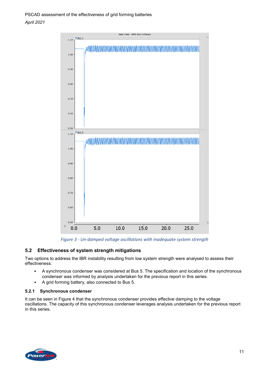

*Figure 3 - Un-damped voltage oscillations with inadequate system strength*

# <span id="page-10-2"></span><span id="page-10-0"></span>**5.2 Effectiveness of system strength mitigations**

Two options to address the IBR instability resulting from low system strength were analysed to assess their effectiveness:

- A synchronous condenser was considered at Bus 5. The specification and location of the synchronous condenser was informed by analysis undertaken for the previous report in this series.
- A grid forming battery, also connected to Bus 5.

#### <span id="page-10-1"></span>**5.2.1 Synchronous condenser**

It can be seen in Figure 4 that the synchronous condenser provides effective damping to the voltage oscillations. The capacity of this synchronous condenser leverages analysis undertaken for the previous report in this series.

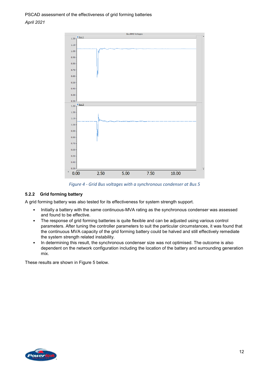

*Figure 4 - Grid Bus voltages with a synchronous condenser at Bus 5*

#### <span id="page-11-1"></span><span id="page-11-0"></span>**5.2.2 Grid forming battery**

A grid forming battery was also tested for its effectiveness for system strength support.

- Initially a battery with the same continuous-MVA rating as the synchronous condenser was assessed and found to be effective.
- The response of grid forming batteries is quite flexible and can be adjusted using various control parameters. After tuning the controller parameters to suit the particular circumstances, it was found that the continuous MVA capacity of the grid forming battery could be halved and still effectively remediate the system strength related instability.
- In determining this result, the synchronous condenser size was not optimised. The outcome is also dependent on the network configuration including the location of the battery and surrounding generation mix.

These results are shown in [Figure 5](#page-12-1) below.

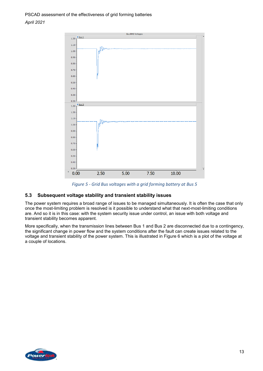

*Figure 5 - Grid Bus voltages with a grid forming battery at Bus 5*

# <span id="page-12-1"></span><span id="page-12-0"></span>**5.3 Subsequent voltage stability and transient stability issues**

The power system requires a broad range of issues to be managed simultaneously. It is often the case that only once the most-limiting problem is resolved is it possible to understand what that next-most-limiting conditions are. And so it is in this case: with the system security issue under control, an issue with both voltage and transient stability becomes apparent.

More specifically, when the transmission lines between Bus 1 and Bus 2 are disconnected due to a contingency, the significant change in power flow and the system conditions after the fault can create issues related to the voltage and transient stability of the power system. This is illustrated in Figure 6 which is a plot of the voltage at a couple of locations.

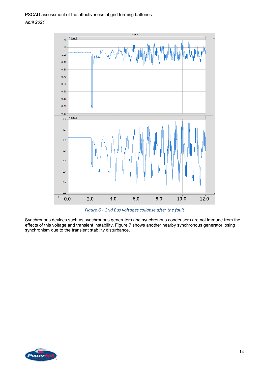

*Figure 6 - Grid Bus voltages collapse after the fault*

<span id="page-13-0"></span>Synchronous devices such as synchronous generators and synchronous condensers are not immune from the effects of this voltage and transient instability. [Figure 7](#page-14-2) shows another nearby synchronous generator losing synchronism due to the transient stability disturbance.

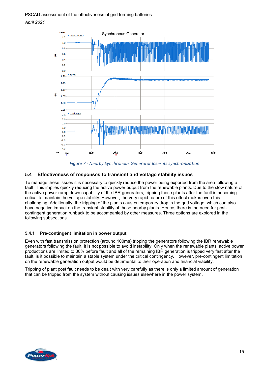

*Figure 7 - Nearby Synchronous Generator loses its synchronization*

#### <span id="page-14-2"></span><span id="page-14-0"></span>**5.4 Effectiveness of responses to transient and voltage stability issues**

To manage these issues it is necessary to quickly reduce the power being exported from the area following a fault. This implies quickly reducing the active power output from the renewable plants. Due to the slow nature of the active power ramp down capability of the IBR generators, tripping those plants after the fault is becoming critical to maintain the voltage stability. However, the very rapid nature of this effect makes even this challenging. Additionally, the tripping of the plants causes temporary drop in the grid voltage, which can also have negative impact on the transient stability of those nearby plants. Hence, there is the need for postcontingent generation runback to be accompanied by other measures. Three options are explored in the following subsections.

#### <span id="page-14-1"></span>**5.4.1 Pre-contingent limitation in power output**

Even with fast transmission protection (around 100ms) tripping the generators following the IBR renewable generators following the fault, it is not possible to avoid instability. Only when the renewable plants' active power productions are limited to 80% before fault and all of the remaining IBR generation is tripped very fast after the fault, is it possible to maintain a stable system under the critical contingency. However, pre-contingent limitation on the renewable generation output would be detrimental to their operation and financial viability.

Tripping of plant post fault needs to be dealt with very carefully as there is only a limited amount of generation that can be tripped from the system without causing issues elsewhere in the power system.

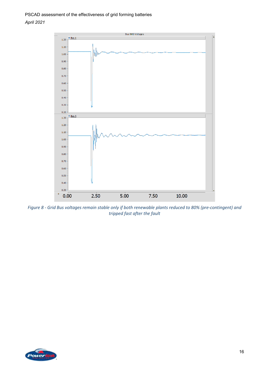

<span id="page-15-0"></span>*Figure 8 - Grid Bus voltages remain stable only if both renewable plants reduced to 80% (pre-contingent) and tripped fast after the fault*

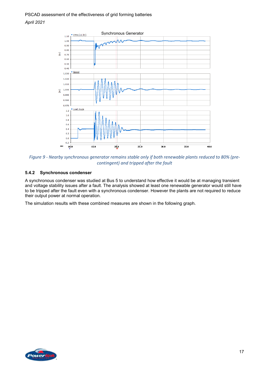

<span id="page-16-1"></span>*Figure 9 - Nearby synchronous generator remains stable only if both renewable plants reduced to 80% (precontingent) and tripped after the fault*

#### <span id="page-16-0"></span>**5.4.2 Synchronous condenser**

A synchronous condenser was studied at Bus 5 to understand how effective it would be at managing transient and voltage stability issues after a fault. The analysis showed at least one renewable generator would still have to be tripped after the fault even with a synchronous condenser. However the plants are not required to reduce their output power at normal operation.

The simulation results with these combined measures are shown in the following graph.

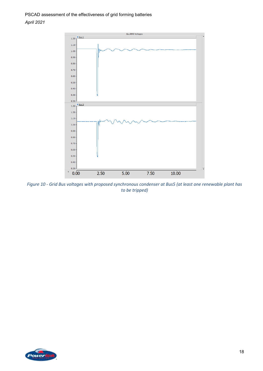

<span id="page-17-0"></span>*Figure 10 - Grid Bus voltages with proposed synchronous condenser at Bus5 (at least one renewable plant has to be tripped)*

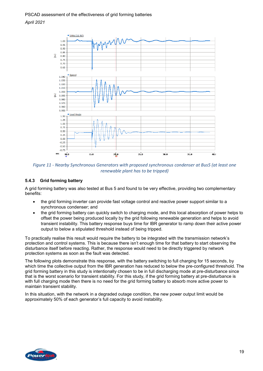

<span id="page-18-1"></span>*Figure 11 - Nearby Synchronous Generators with proposed synchronous condenser at Bus5 (at least one renewable plant has to be tripped)*

#### <span id="page-18-0"></span>**5.4.3 Grid forming battery**

A grid forming battery was also tested at Bus 5 and found to be very effective, providing two complementary benefits:

- the grid forming inverter can provide fast voltage control and reactive power support similar to a synchronous condenser; and
- the grid forming battery can quickly switch to charging mode, and this local absorption of power helps to offset the power being produced locally by the grid following renewable generation and helps to avoid transient instability. This battery response buys time for IBR generator to ramp down their active power output to below a stipulated threshold instead of being tripped.

To practically realise this result would require the battery to be integrated with the transmission network's protection and control systems. This is because there isn't enough time for that battery to start observing the disturbance itself before reacting. Rather, the response would need to be directly triggered by network protection systems as soon as the fault was detected.

The following plots demonstrate this response, with the battery switching to full charging for 15 seconds, by which time the collective output from the IBR generation has reduced to below the pre-configured threshold. The grid forming battery in this study is intentionally chosen to be in full discharging mode at pre-disturbance since that is the worst scenario for transient stability. For this study, if the grid forming battery at pre-disturbance is with full charging mode then there is no need for the grid forming battery to absorb more active power to maintain transient stability.

In this situation, with the network in a degraded outage condition, the new power output limit would be approximately 50% of each generator's full capacity to avoid instability.

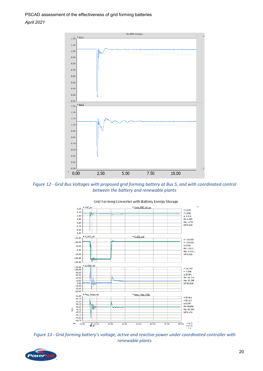

<span id="page-19-0"></span>*Figure 12 - Grid Bus Voltages with proposed grid forming battery at Bus 5, and with coordinated control between the battery and renewable plants*



Grid Forming Converter with Battery Energy Storage

<span id="page-19-1"></span>*Figure 13 - Grid forming battery's voltage, active and reactive power under coordinated controller with renewable plants*

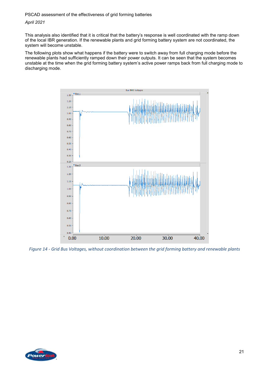#### *April 2021*

This analysis also identified that it is critical that the battery's response is well coordinated with the ramp down of the local IBR generation. If the renewable plants and grid forming battery system are not coordinated, the system will become unstable.

The following plots show what happens if the battery were to switch away from full charging mode before the renewable plants had sufficiently ramped down their power outputs. It can be seen that the system becomes unstable at the time when the grid forming battery system's active power ramps back from full charging mode to discharging mode.



<span id="page-20-0"></span>*Figure 14 - Grid Bus Voltages, without coordination between the grid forming battery and renewable plants*

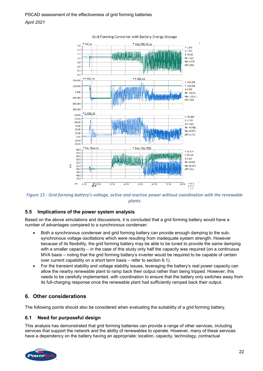

#### Grid Forming Converter with Battery Energy Storage

<span id="page-21-3"></span>*Figure 15 - Grid forming battery's voltage, active and reactive power without coordination with the renewable plants*

#### <span id="page-21-0"></span>**5.5 Implications of the power system analysis**

Based on the above simulations and discussions, it is concluded that a grid forming battery would have a number of advantages compared to a synchronous condenser:

- Both a synchronous condenser and grid forming battery can provide enough damping to the subsynchronous voltage oscillations which were resulting from inadequate system strength. However because of its flexibility, the grid forming battery may be able to be tuned to provide the same damping with a smaller capacity – in the case of this study only half the capacity was required (on a continuous MVA basis – noting that the grid forming battery's inverter would be required to be capable of certain over current capability on a short term basis – refer to section [6.1\)](#page-21-4).
- For the transient stability and voltage stability issues, leveraging the battery's real power capacity can allow the nearby renewable plant to ramp back their output rather than being tripped. However, this needs to be carefully implemented, with coordination to ensure that the battery only switches away from its full-charging response once the renewable plant had sufficiently ramped back their output.

# <span id="page-21-1"></span>**6. Other considerations**

<span id="page-21-4"></span>The following points should also be considered when evaluating the suitability of a grid forming battery.

#### <span id="page-21-2"></span>**6.1 Need for purposeful design**

This analysis has demonstrated that grid forming batteries can provide a range of other services, including services that support the network and the ability of renewables to operate. However, many of these services have a dependency on the battery having an appropriate: location, capacity, technology, contractual

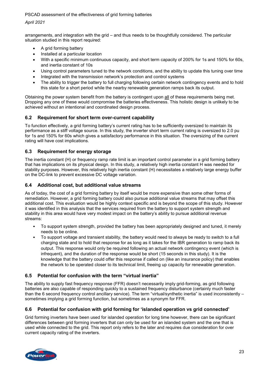#### *April 2021*

arrangements, and integration with the grid – and thus needs to be thoughtfully considered. The particular situation studied in this report required:

- A grid forming battery
- Installed at a particular location
- With a specific minimum continuous capacity, and short term capacity of 200% for 1s and 150% for 60s, and inertia constant of 10s
- Using control parameters tuned to the network conditions, and the ability to update this tuning over time
- Integrated with the transmission network's protection and control systems
- The ability to trigger the battery to full charging following certain network contingency events and to hold this state for a short period while the nearby renewable generation ramps back its output.

Obtaining the power system benefit from the battery is contingent upon all of these requirements being met. Dropping any one of these would compromise the batteries effectiveness. This holistic design is unlikely to be achieved without an intentional and coordinated design process.

# <span id="page-22-0"></span>**6.2 Requirement for short term over-current capability**

To function effectively, a grid forming battery's current rating has to be sufficiently oversized to maintain its performance as a stiff voltage source. In this study, the inverter short term current rating is oversized to 2.0 pu for 1s and 150% for 60s which gives a satisfactory performance in this situation. The oversizing of the current rating will have cost implications.

# <span id="page-22-1"></span>**6.3 Requirement for energy storage**

The inertia constant (H) or frequency ramp rate limit is an important control parameter in a grid forming battery that has implications on its physical design. In this study, a relatively high inertia constant H was needed for stability purposes. However, this relatively high inertia constant (H) necessitates a relatively large energy buffer on the DC-link to prevent excessive DC voltage variation.

# <span id="page-22-2"></span>**6.4 Additional cost, but additional value streams**

As of today, the cost of a grid forming battery by itself would be more expensive than some other forms of remediation. However, a grid forming battery could also pursue additional value streams that may offset this additional cost. This evaluation would be highly context specific and is beyond the scope of this study. However it was identified in this analysis that the services required from the battery to support system strength and stability in this area would have very modest impact on the battery's ability to pursue additional revenue streams:

- To support system strength, provided the battery has been appropriately designed and tuned, it merely needs to be online.
- To support voltage and transient stability, the battery would need to always be ready to switch to a full charging state and to hold that response for as long as it takes for the IBR generation to ramp back its output. This response would only be required following an actual network contingency event (which is infrequent), and the duration of the response would be short (15 seconds in this study). It is the knowledge that the battery could offer this response if called on (like an insurance policy) that enables the network to be operated closer to its technical limit, freeing up capacity for renewable generation.

# <span id="page-22-3"></span>**6.5 Potential for confusion with the term "virtual inertia"**

The ability to supply fast frequency response (FFR) doesn't necessarily imply grid-forming, as grid following batteries are also capable of responding quickly to a sustained frequency disturbance (certainly much faster than the 6 second frequency control ancillary service). The term "virtual/synthetic inertia" is used inconsistently – sometimes implying a grid forming function, but sometimes as a synonym for FFR.

# <span id="page-22-4"></span>**6.6 Potential for confusion with grid forming for 'islanded operation vs grid connected'**

Grid forming inverters have been used for islanded operation for long time however, there can be significant differences between grid forming inverters that can only be used for an islanded system and the one that is used while connected to the grid. This report only refers to the later and requires due consideration for over current capacity rating of the inverters.